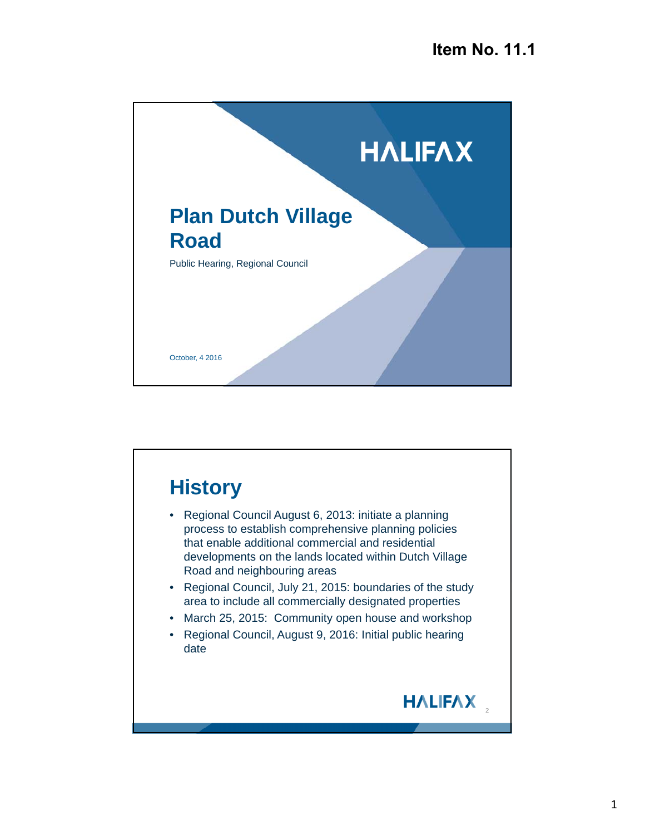

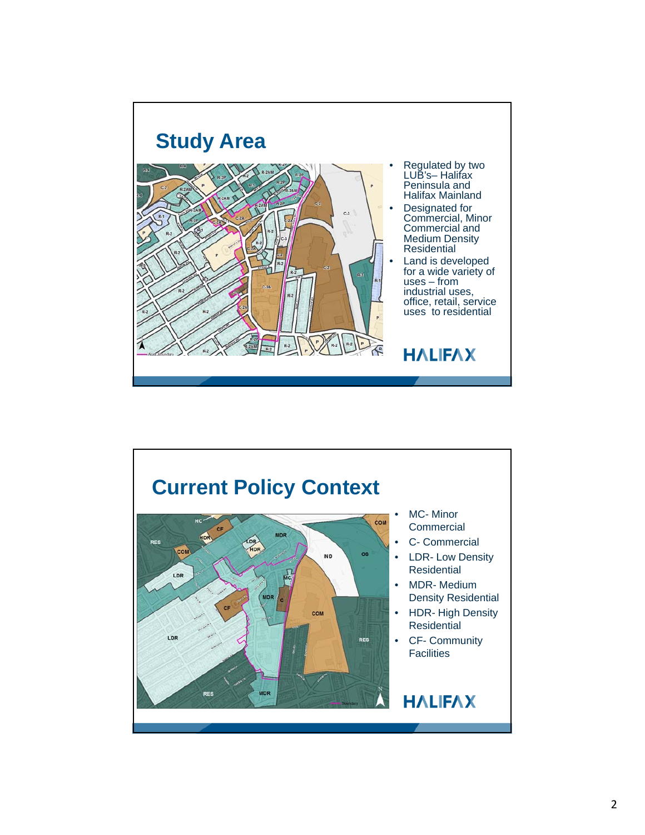

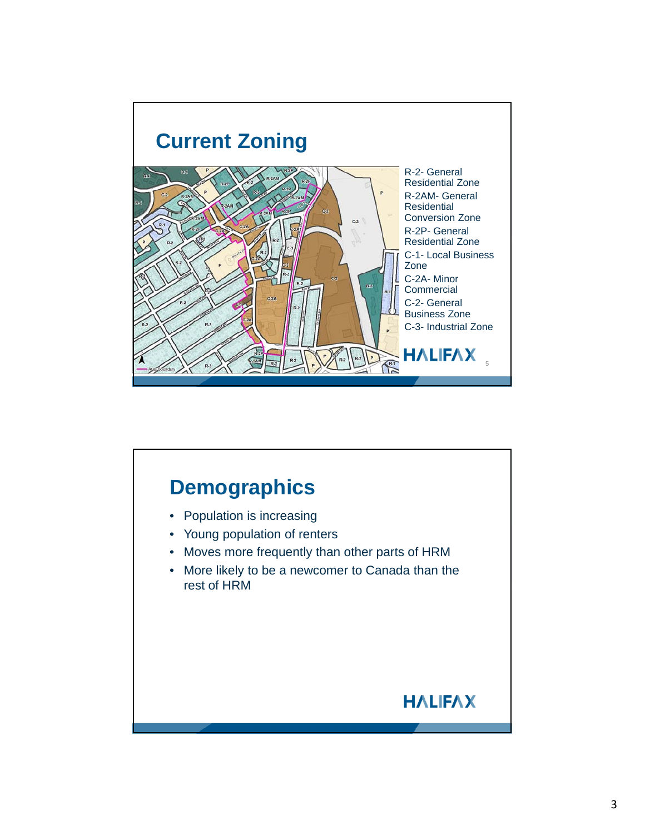

## **Demographics** • Population is increasing • Young population of renters • Moves more frequently than other parts of HRM • More likely to be a newcomer to Canada than the rest of HRM**HALIFAX**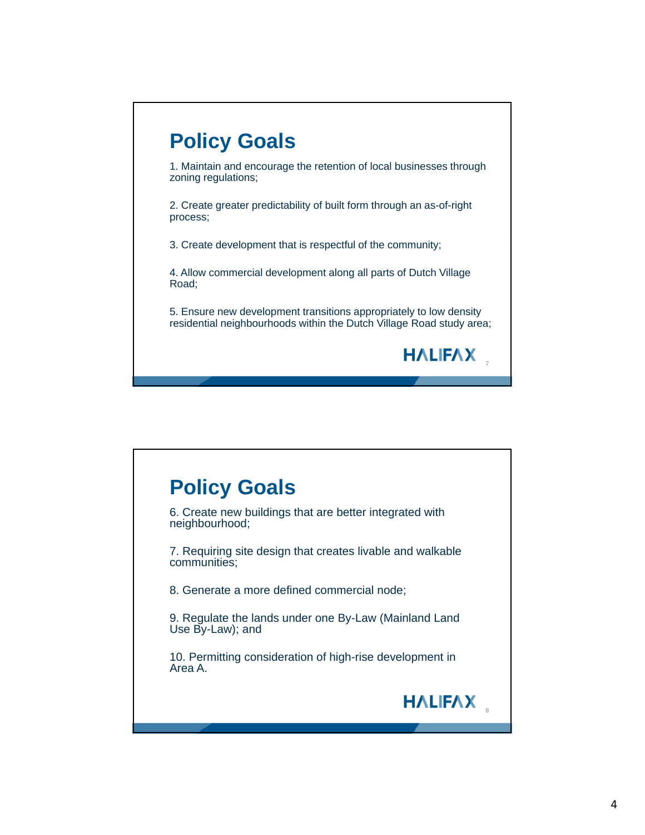

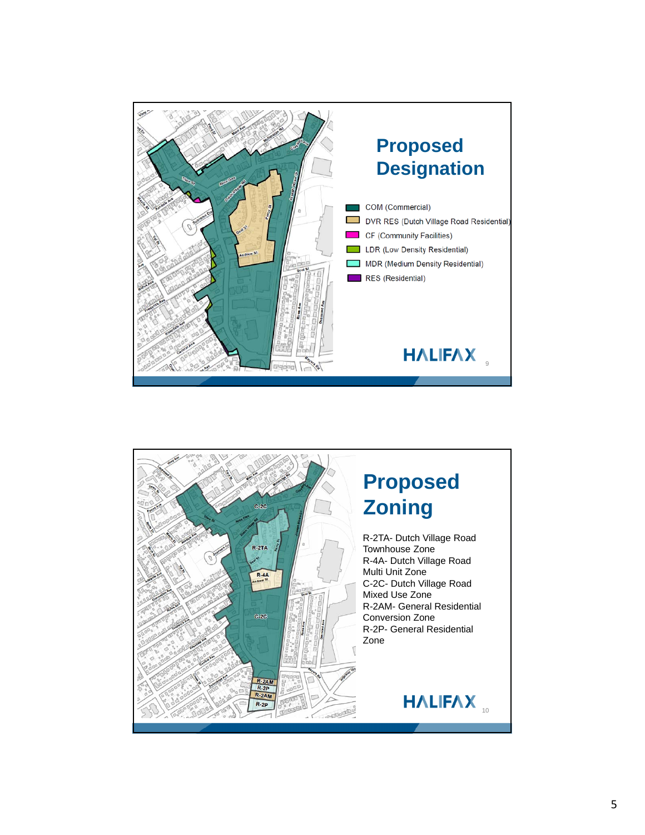

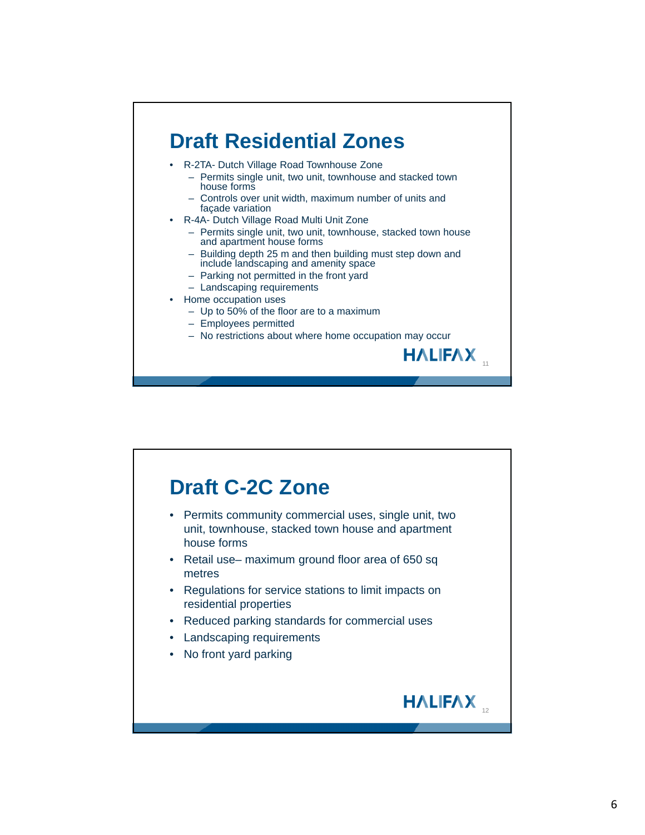## **Draft Residential Zones** • R-2TA- Dutch Village Road Townhouse Zone – Permits single unit, two unit, townhouse and stacked town house forms – Controls over unit width, maximum number of units and façade variation • R-4A- Dutch Village Road Multi Unit Zone – Permits single unit, two unit, townhouse, stacked town house and apartment house forms – Building depth 25 m and then building must step down and include landscaping and amenity space – Parking not permitted in the front yard – Landscaping requirements • Home occupation uses – Up to 50% of the floor are to a maximum

- Employees permitted
- No restrictions about where home occupation may occur

<sub>11</sub>

**HALIFAX** 

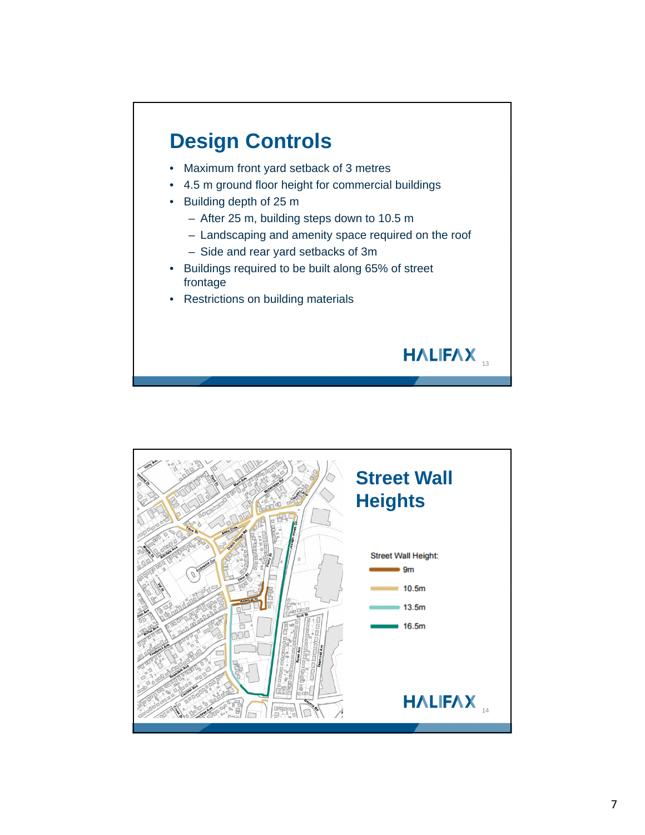## **Design Controls**

- Maximum front yard setback of 3 metres
- 4.5 m ground floor height for commercial buildings
- Building depth of 25 m
	- After 25 m, building steps down to 10.5 m
	- Landscaping and amenity space required on the roof

HALIFAX

- Side and rear yard setbacks of 3m
- Buildings required to be built along 65% of street frontage
- Restrictions on building materials

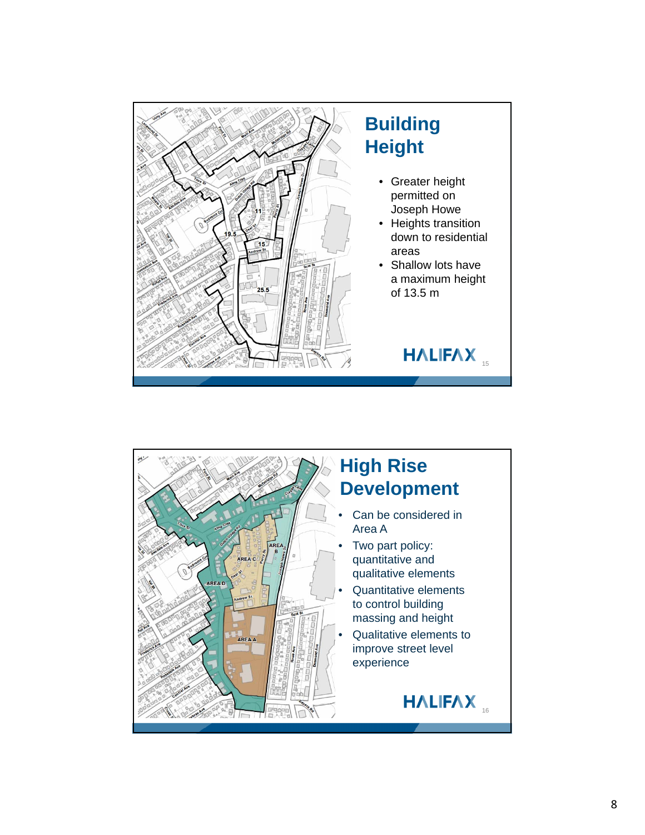

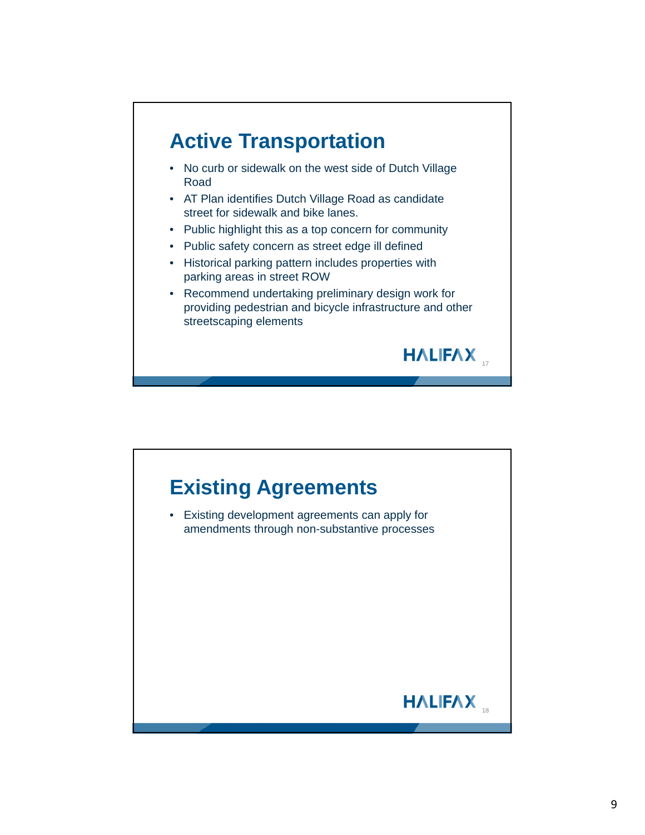